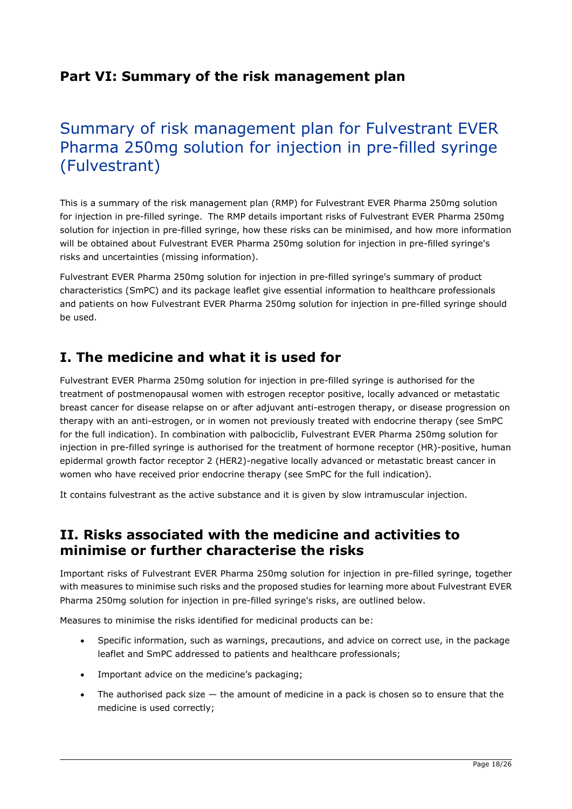## Part VI: Summary of the risk management plan

# Summary of risk management plan for Fulvestrant EVER Pharma 250mg solution for injection in pre-filled syringe (Fulvestrant)

This is a summary of the risk management plan (RMP) for Fulvestrant EVER Pharma 250mg solution for injection in pre-filled syringe. The RMP details important risks of Fulvestrant EVER Pharma 250mg solution for injection in pre-filled syringe, how these risks can be minimised, and how more information will be obtained about Fulvestrant EVER Pharma 250mg solution for injection in pre-filled syringe's risks and uncertainties (missing information).

Fulvestrant EVER Pharma 250mg solution for injection in pre-filled syringe's summary of product characteristics (SmPC) and its package leaflet give essential information to healthcare professionals and patients on how Fulvestrant EVER Pharma 250mg solution for injection in pre-filled syringe should be used.

## I. The medicine and what it is used for

Fulvestrant EVER Pharma 250mg solution for injection in pre-filled syringe is authorised for the treatment of postmenopausal women with estrogen receptor positive, locally advanced or metastatic breast cancer for disease relapse on or after adjuvant anti-estrogen therapy, or disease progression on therapy with an anti-estrogen, or in women not previously treated with endocrine therapy (see SmPC for the full indication). In combination with palbociclib, Fulvestrant EVER Pharma 250mg solution for injection in pre-filled syringe is authorised for the treatment of hormone receptor (HR)-positive, human epidermal growth factor receptor 2 (HER2)-negative locally advanced or metastatic breast cancer in women who have received prior endocrine therapy (see SmPC for the full indication).

It contains fulvestrant as the active substance and it is given by slow intramuscular injection.

## II. Risks associated with the medicine and activities to minimise or further characterise the risks

Important risks of Fulvestrant EVER Pharma 250mg solution for injection in pre-filled syringe, together with measures to minimise such risks and the proposed studies for learning more about Fulvestrant EVER Pharma 250mg solution for injection in pre-filled syringe's risks, are outlined below.

Measures to minimise the risks identified for medicinal products can be:

- Specific information, such as warnings, precautions, and advice on correct use, in the package leaflet and SmPC addressed to patients and healthcare professionals;
- Important advice on the medicine's packaging;
- The authorised pack size  $-$  the amount of medicine in a pack is chosen so to ensure that the medicine is used correctly;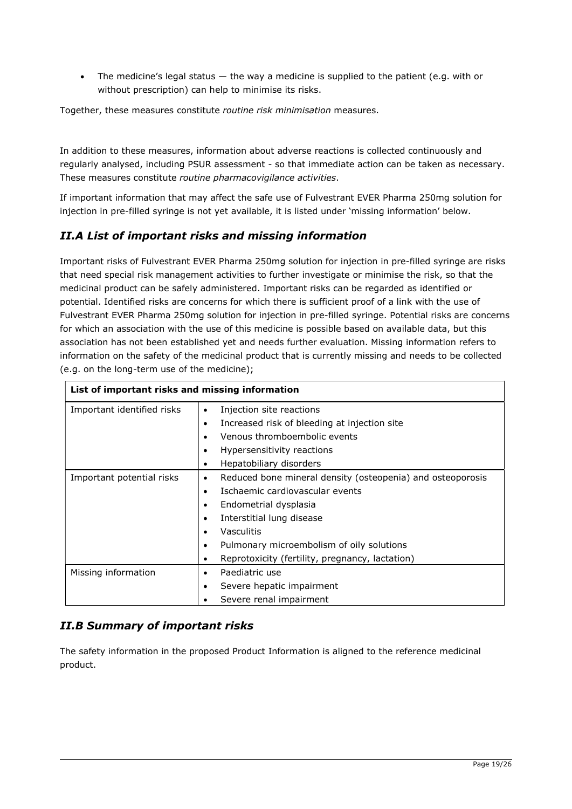• The medicine's legal status  $-$  the way a medicine is supplied to the patient (e.g. with or without prescription) can help to minimise its risks.

Together, these measures constitute routine risk minimisation measures.

In addition to these measures, information about adverse reactions is collected continuously and regularly analysed, including PSUR assessment - so that immediate action can be taken as necessary. These measures constitute routine pharmacovigilance activities.

If important information that may affect the safe use of Fulvestrant EVER Pharma 250mg solution for injection in pre-filled syringe is not yet available, it is listed under 'missing information' below.

#### II.A List of important risks and missing information

Important risks of Fulvestrant EVER Pharma 250mg solution for injection in pre-filled syringe are risks that need special risk management activities to further investigate or minimise the risk, so that the medicinal product can be safely administered. Important risks can be regarded as identified or potential. Identified risks are concerns for which there is sufficient proof of a link with the use of Fulvestrant EVER Pharma 250mg solution for injection in pre-filled syringe. Potential risks are concerns for which an association with the use of this medicine is possible based on available data, but this association has not been established yet and needs further evaluation. Missing information refers to information on the safety of the medicinal product that is currently missing and needs to be collected (e.g. on the long-term use of the medicine);

| List of important risks and missing information |                                                                 |
|-------------------------------------------------|-----------------------------------------------------------------|
| Important identified risks                      | Injection site reactions<br>$\bullet$                           |
|                                                 | Increased risk of bleeding at injection site<br>$\bullet$       |
|                                                 | Venous thromboembolic events                                    |
|                                                 | Hypersensitivity reactions                                      |
|                                                 | Hepatobiliary disorders<br>٠                                    |
| Important potential risks                       | Reduced bone mineral density (osteopenia) and osteoporosis<br>٠ |
|                                                 | Ischaemic cardiovascular events<br>٠                            |
|                                                 | Endometrial dysplasia<br>$\bullet$                              |
|                                                 | Interstitial lung disease<br>٠                                  |
|                                                 | Vasculitis                                                      |
|                                                 | Pulmonary microembolism of oily solutions<br>٠                  |
|                                                 | Reprotoxicity (fertility, pregnancy, lactation)                 |
| Missing information                             | Paediatric use                                                  |
|                                                 | Severe hepatic impairment                                       |
|                                                 | Severe renal impairment                                         |

### II.B Summary of important risks

The safety information in the proposed Product Information is aligned to the reference medicinal product.